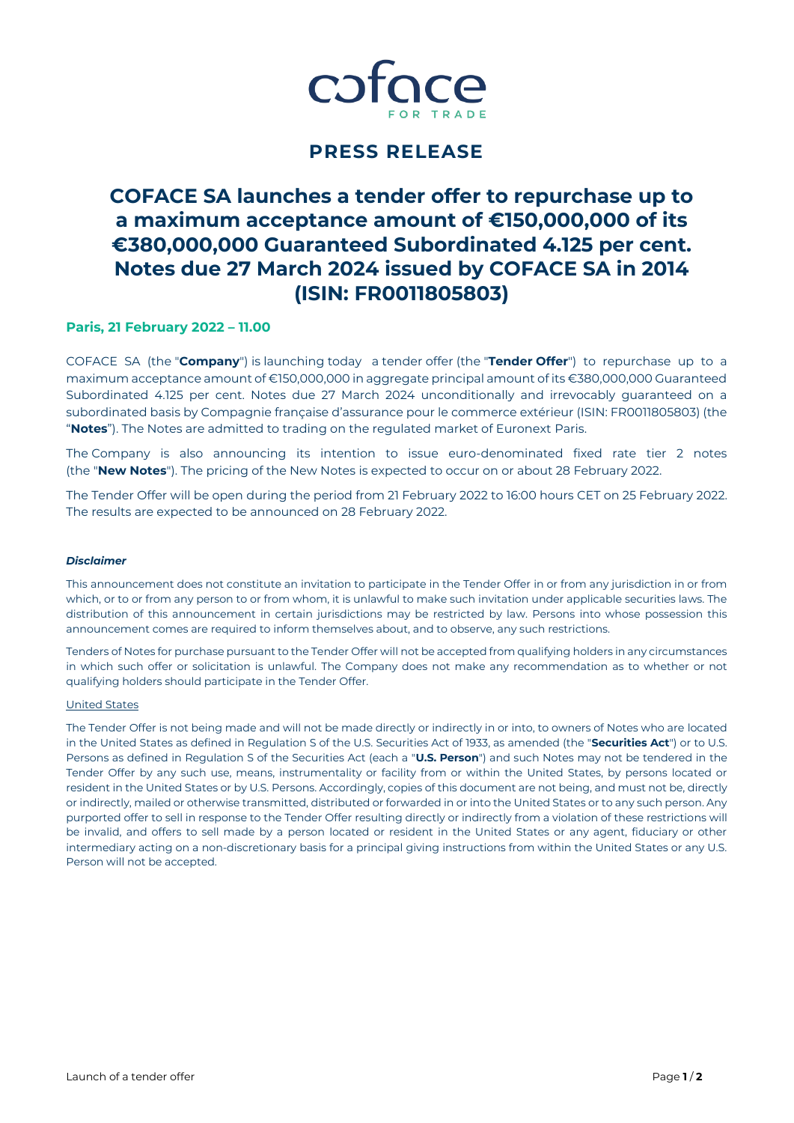

## **PRESS RELEASE**

# **COFACE SA launches a tender offer to repurchase up to a maximum acceptance amount of €150,000,000 of its €380,000,000 Guaranteed Subordinated 4.125 per cent. Notes due 27 March 2024 issued by COFACE SA in 2014 (ISIN: FR0011805803)**

## **Paris, 21 February 2022 – 11.00**

COFACE SA (the "**Company**") is launching today a tender offer (the "**Tender Offer**") to repurchase up to a maximum acceptance amount of €150,000,000 in aggregate principal amount of its €380,000,000 Guaranteed Subordinated 4.125 per cent. Notes due 27 March 2024 unconditionally and irrevocably guaranteed on a subordinated basis by Compagnie française d'assurance pour le commerce extérieur (ISIN: FR0011805803) (the "**Notes**"). The Notes are admitted to trading on the regulated market of Euronext Paris.

The Company is also announcing its intention to issue euro-denominated fixed rate tier 2 notes (the "**New Notes**"). The pricing of the New Notes is expected to occur on or about 28 February 2022.

The Tender Offer will be open during the period from 21 February 2022 to 16:00 hours CET on 25 February 2022. The results are expected to be announced on 28 February 2022.

#### *Disclaimer*

This announcement does not constitute an invitation to participate in the Tender Offer in or from any jurisdiction in or from which, or to or from any person to or from whom, it is unlawful to make such invitation under applicable securities laws. The distribution of this announcement in certain jurisdictions may be restricted by law. Persons into whose possession this announcement comes are required to inform themselves about, and to observe, any such restrictions.

Tenders of Notes for purchase pursuant to the Tender Offer will not be accepted from qualifying holders in any circumstances in which such offer or solicitation is unlawful. The Company does not make any recommendation as to whether or not qualifying holders should participate in the Tender Offer.

#### United States

The Tender Offer is not being made and will not be made directly or indirectly in or into, to owners of Notes who are located in the United States as defined in Regulation S of the U.S. Securities Act of 1933, as amended (the "**Securities Act**") or to U.S. Persons as defined in Regulation S of the Securities Act (each a "**U.S. Person**") and such Notes may not be tendered in the Tender Offer by any such use, means, instrumentality or facility from or within the United States, by persons located or resident in the United States or by U.S. Persons. Accordingly, copies of this document are not being, and must not be, directly or indirectly, mailed or otherwise transmitted, distributed or forwarded in or into the United States or to any such person. Any purported offer to sell in response to the Tender Offer resulting directly or indirectly from a violation of these restrictions will be invalid, and offers to sell made by a person located or resident in the United States or any agent, fiduciary or other intermediary acting on a non-discretionary basis for a principal giving instructions from within the United States or any U.S. Person will not be accepted.